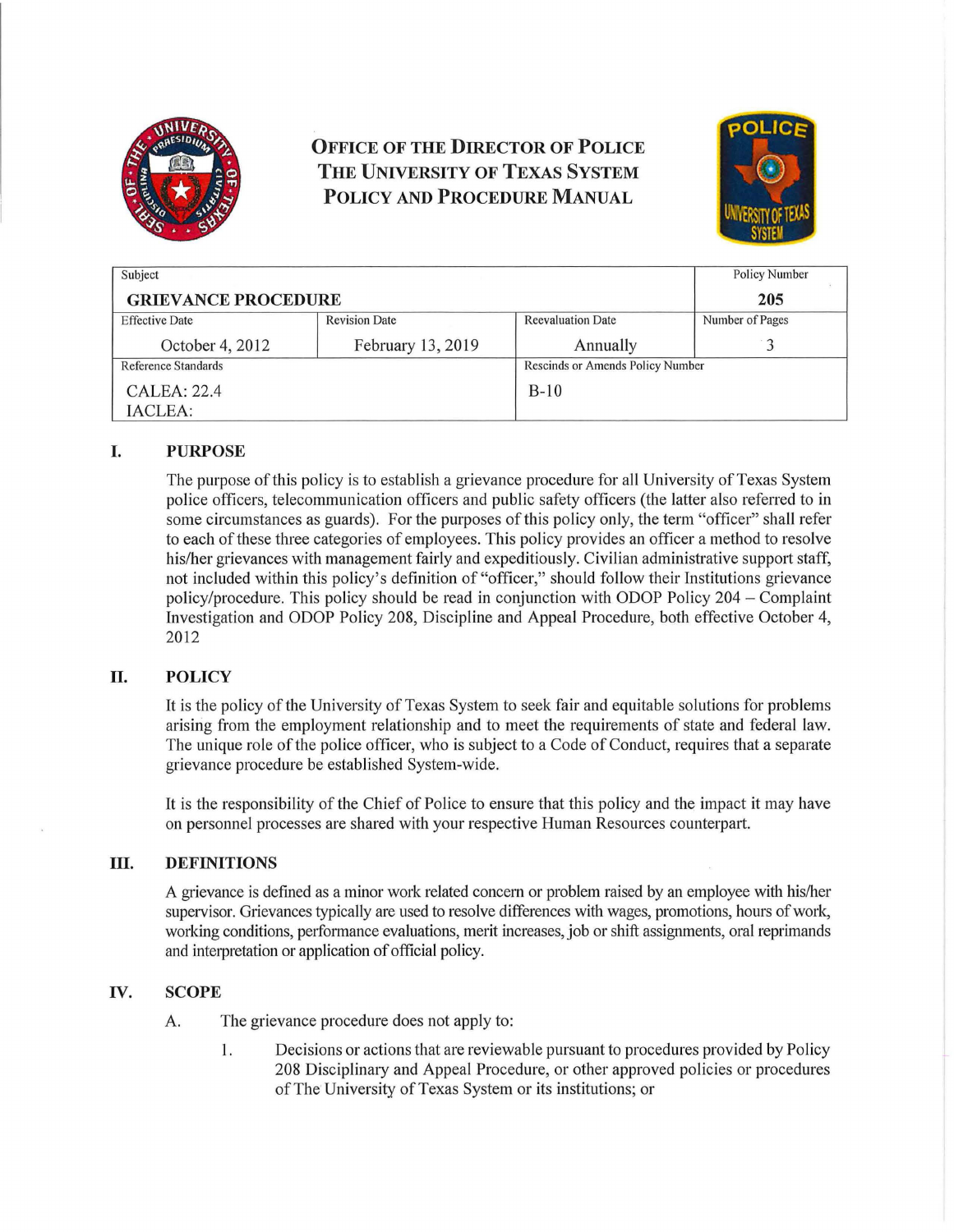

# **OFFICE OF THE DIRECTOR OF POLICE THE UNIVERSITY OF TEXAS SYSTEM POLICY AND PROCEDURE MANuAL**



| Subject                    |                      |                                  | <b>Policy Number</b> |
|----------------------------|----------------------|----------------------------------|----------------------|
| <b>GRIEVANCE PROCEDURE</b> |                      |                                  | 205                  |
| <b>Effective Date</b>      | <b>Revision Date</b> | <b>Reevaluation Date</b>         | Number of Pages      |
| October 4, 2012            | February 13, 2019    | Annually                         |                      |
| Reference Standards        |                      | Rescinds or Amends Policy Number |                      |
| CALEA: 22.4                |                      | $B-10$                           |                      |
| IACLEA:                    |                      |                                  |                      |

## **I. PURPOSE**

The purpose of this policy is to establish a grievance procedure for all University of Texas System police officers, telecommunication officers and public safety officers (the latter also referred to in some circumstances as guards). For the purposes of this policy only, the term "officer" shall refer to each of these three categories of employees. This policy provides an officer a method to resolve his/her grievances with management fairly and expeditiously. Civilian administrative support staff, not included within this policy's definition of "officer," should follow their Institutions grievance policy/procedure. This policy should be read in conjunction with ODOP Policy 204 - Complaint Investigation and ODOP Policy 208, Discipline and Appeal Procedure, both effective October 4, 2012

## **II. POLICY**

It is the policy of the University of Texas System to seek fair and equitable solutions for problems arising from the employment relationship and to meet the requirements of state and federal law. The unique role of the police officer, who is subject to a Code of Conduct, requires that a separate grievance procedure be established System-wide.

It is the responsibility of the Chief of Police to ensure that this policy and the impact it may have on personnel processes are shared with your respective Human Resources counterpart.

#### **III. DEFINITIONS**

A grievance is defined as a minor work related concern or problem raised by an employee with his/her supervisor. Grievances typically are used to resolve differences with wages, promotions, hours of work, working conditions, performance evaluations, merit increases, job or shift assignments, oral reprimands and interpretation or application of official policy.

## **IV. SCOPE**

- A. The grievance procedure does not apply to:
	- 1. Decisions or actions that are reviewable pursuant to procedures provided by Policy 208 Disciplinary and Appeal Procedure, or other approved policies or procedures of The University of Texas System or its institutions; or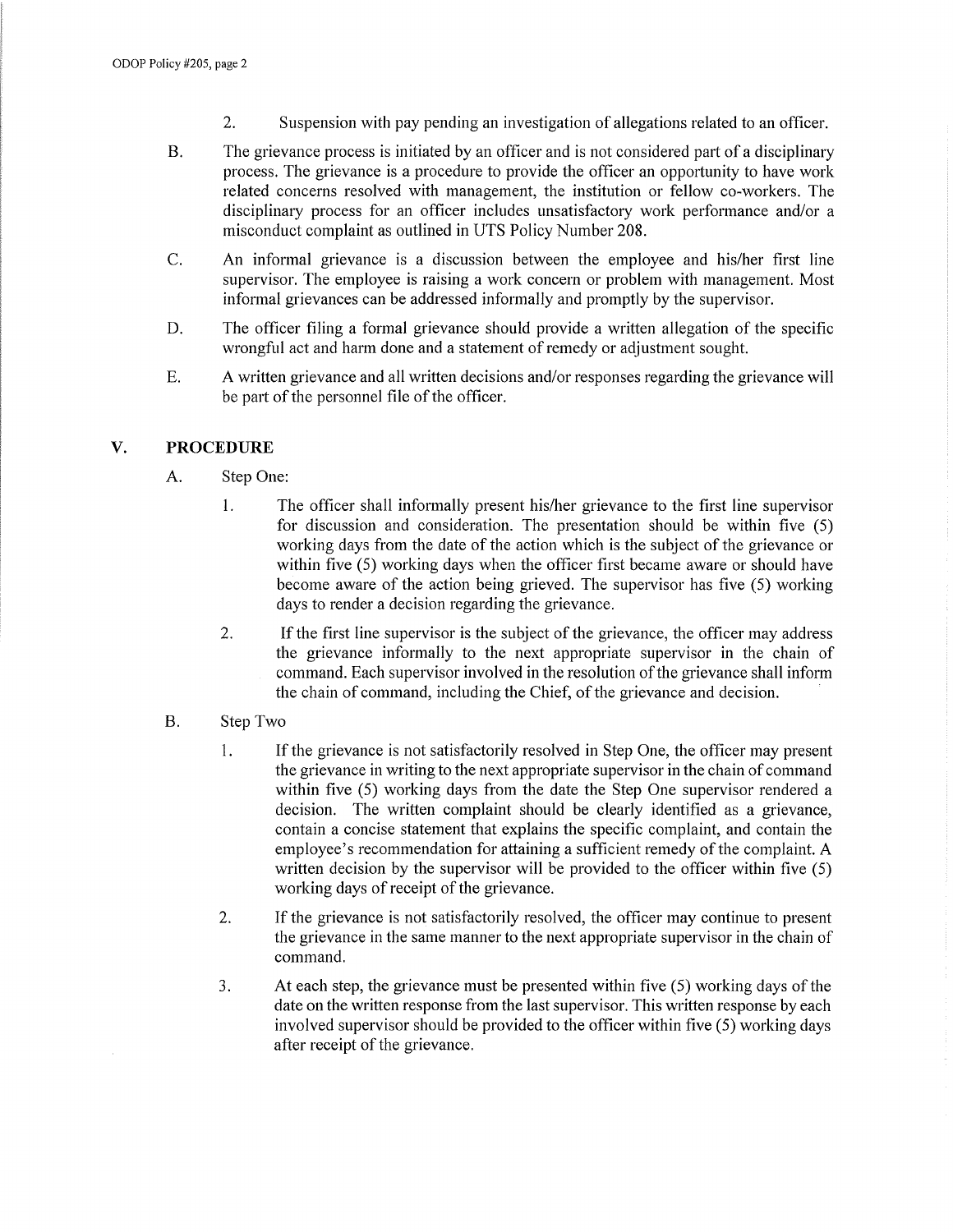- 2. Suspension with pay pending an investigation of allegations related to an officer.
- B. The grievance process is initiated by an officer and is not considered part of a disciplinary process. The grievance is a procedure to provide the officer an opportunity to have work related concerns resolved with management, the institution or fellow co-workers. The disciplinary process for an officer includes unsatisfactory work performance and/or a misconduct complaint as outlined in UTS Policy Number 208.
- C. An informal grievance is a discussion between the employee and his/her first line supervisor. The employee is raising a work concern or problem with management. Most informal grievances can be addressed informally and promptly by the supervisor.
- D. The officer filing a formal grievance should provide a written allegation of the specific wrongful act and harm done and a statement of remedy or adjustment sought.
- E. A written grievance and all written decisions and/or responses regarding the grievance will be part of the personnel file of the officer.

#### V. **PROCEDURE**

- A. Step One:
	- 1. The officer shall informally present his/her grievance to the first line supervisor for discussion and consideration. The presentation should be within five (5) working days from the date of the action which is the subject of the grievance or within five (5) working days when the officer first became aware or should have become aware of the action being grieved. The supervisor has five (5) working days to render a decision regarding the grievance.
	- 2. If the first line supervisor is the subject of the grievance, the officer may address the grievance informally to the next appropriate supervisor in the chain of command. Each supervisor involved in the resolution of the grievance shall inform the chain of command, including the Chief, of the grievance and decision.
- B. Step Two
	- 1. Ifthe grievance is not satisfactorily resolved in Step One, the officer may present the grievance in writing to the next appropriate supervisor in the chain of command within five (5) working days from the date the Step One supervisor rendered a decision. The written complaint should be clearly identified as a grievance, contain a concise statement that explains the specific complaint, and contain the employee's recommendation for attaining a sufficient remedy of the complaint. A written decision by the supervisor will be provided to the officer within five (5) working days of receipt of the grievance.
	- 2. If the grievance is not satisfactorily resolved, the officer may continue to present the grievance in the same manner to the next appropriate supervisor in the chain of command.
	- 3. At each step, the grievance must be presented within five (5) working days of the date on the written response from the last supervisor. This written response by each involved supervisor should be provided to the officer within five (5) working days after receipt of the grievance.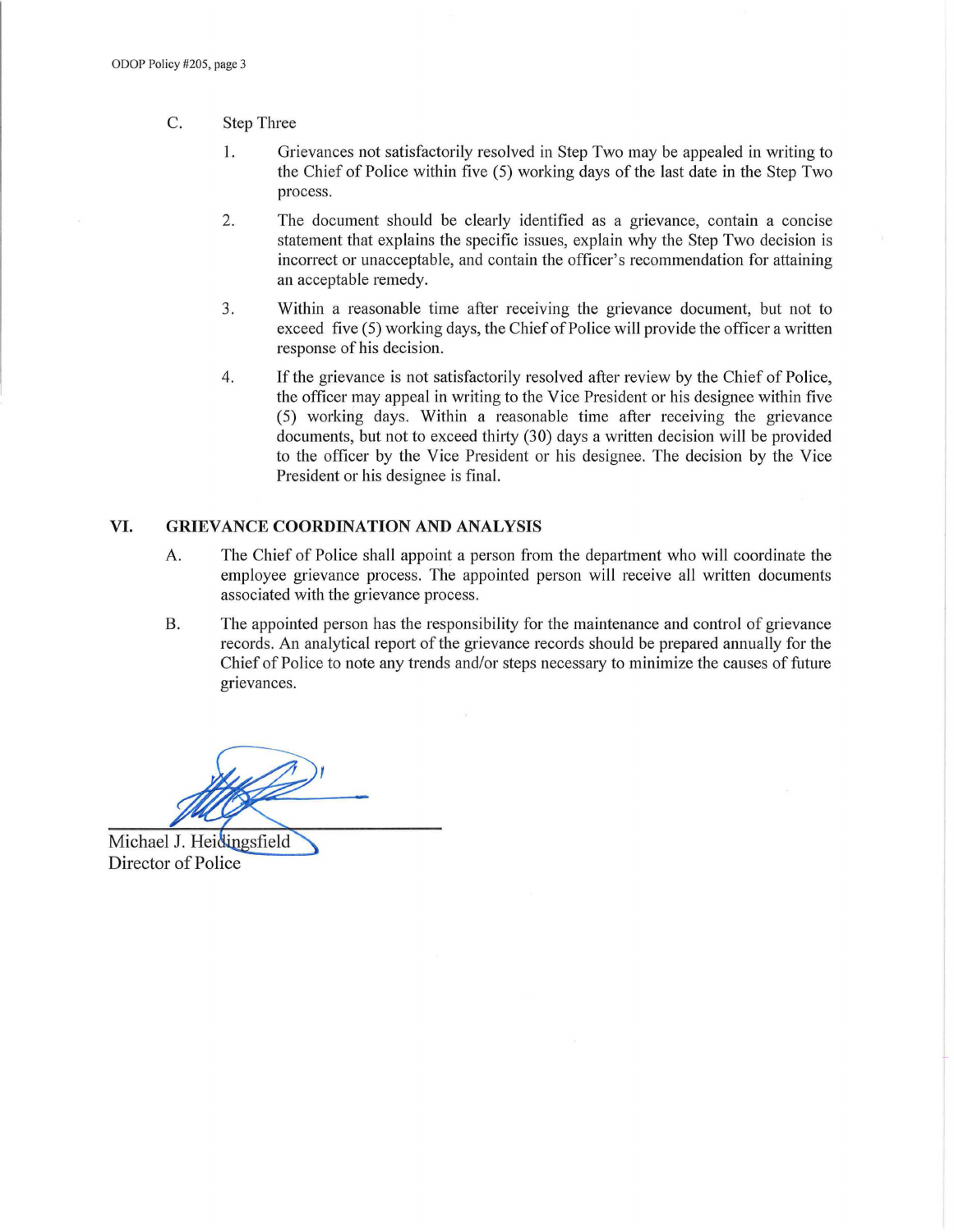- C. Step Three
	- 1. Grievances not satisfactorily resolved in Step Two may be appealed in writing to the Chief of Police within five (5) working days of the last date in the Step Two process.
	- 2. The document should be clearly identified as a grievance, contain a concise statement that explains the specific issues, explain why the Step Two decision is incorrect or unacceptable, and contain the officer's recommendation for attaining an acceptable remedy.
	- 3. Within a reasonable time after receiving the grievance document, but not to exceed five (5) working days, the Chief of Police will provide the officer a written response of his decision.
	- 4. Ifthe grievance is not satisfactorily resolved after review by the Chief of Police, the officer may appeal in writing to the Vice President or his designee within five (5) working days. Within a reasonable time after receiving the grievance documents, but not to exceed thirty (30) days a written decision will be provided to the officer by the Vice President or his designee. The decision by the Vice President or his designee is final.

#### VI. GRIEVANCE COORDINATION AND ANALYSIS

- A. The Chief of Police shall appoint a person from the department who will coordinate the employee grievance process. The appointed person will receive all written documents associated with the grievance process.
- B. The appointed person has the responsibility for the maintenance and control of grievance records. An analytical report of the grievance records should be prepared annually for the Chief of Police to note any trends and/or steps necessary to minimize the causes of future grievances.

Michael J. Heidingsfield Director of Police